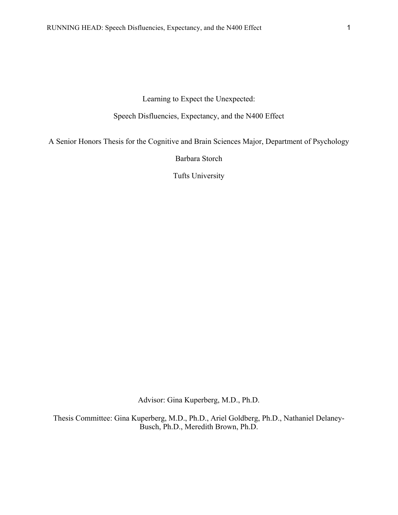Learning to Expect the Unexpected:

Speech Disfluencies, Expectancy, and the N400 Effect

A Senior Honors Thesis for the Cognitive and Brain Sciences Major, Department of Psychology

Barbara Storch

Tufts University

Advisor: Gina Kuperberg, M.D., Ph.D.

Thesis Committee: Gina Kuperberg, M.D., Ph.D., Ariel Goldberg, Ph.D., Nathaniel Delaney-Busch, Ph.D., Meredith Brown, Ph.D.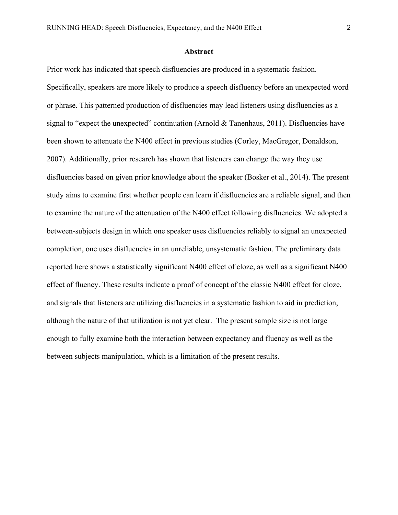### **Abstract**

Prior work has indicated that speech disfluencies are produced in a systematic fashion. Specifically, speakers are more likely to produce a speech disfluency before an unexpected word or phrase. This patterned production of disfluencies may lead listeners using disfluencies as a signal to "expect the unexpected" continuation (Arnold & Tanenhaus, 2011). Disfluencies have been shown to attenuate the N400 effect in previous studies (Corley, MacGregor, Donaldson, 2007). Additionally, prior research has shown that listeners can change the way they use disfluencies based on given prior knowledge about the speaker (Bosker et al., 2014). The present study aims to examine first whether people can learn if disfluencies are a reliable signal, and then to examine the nature of the attenuation of the N400 effect following disfluencies. We adopted a between-subjects design in which one speaker uses disfluencies reliably to signal an unexpected completion, one uses disfluencies in an unreliable, unsystematic fashion. The preliminary data reported here shows a statistically significant N400 effect of cloze, as well as a significant N400 effect of fluency. These results indicate a proof of concept of the classic N400 effect for cloze, and signals that listeners are utilizing disfluencies in a systematic fashion to aid in prediction, although the nature of that utilization is not yet clear. The present sample size is not large enough to fully examine both the interaction between expectancy and fluency as well as the between subjects manipulation, which is a limitation of the present results.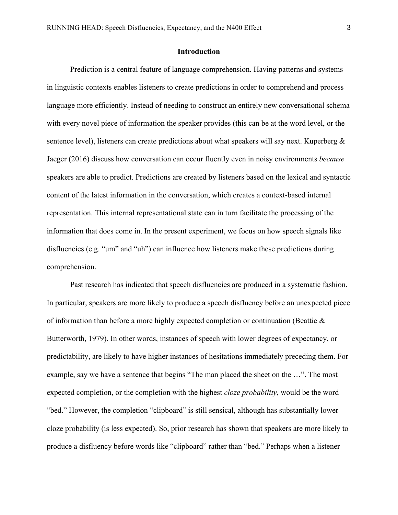## **Introduction**

 Prediction is a central feature of language comprehension. Having patterns and systems in linguistic contexts enables listeners to create predictions in order to comprehend and process language more efficiently. Instead of needing to construct an entirely new conversational schema with every novel piece of information the speaker provides (this can be at the word level, or the sentence level), listeners can create predictions about what speakers will say next. Kuperberg  $\&$ Jaeger (2016) discuss how conversation can occur fluently even in noisy environments *because* speakers are able to predict. Predictions are created by listeners based on the lexical and syntactic content of the latest information in the conversation, which creates a context-based internal representation. This internal representational state can in turn facilitate the processing of the information that does come in. In the present experiment, we focus on how speech signals like disfluencies (e.g. "um" and "uh") can influence how listeners make these predictions during comprehension.

Past research has indicated that speech disfluencies are produced in a systematic fashion. In particular, speakers are more likely to produce a speech disfluency before an unexpected piece of information than before a more highly expected completion or continuation (Beattie  $\&$ Butterworth, 1979). In other words, instances of speech with lower degrees of expectancy, or predictability, are likely to have higher instances of hesitations immediately preceding them. For example, say we have a sentence that begins "The man placed the sheet on the …". The most expected completion, or the completion with the highest *cloze probability*, would be the word "bed." However, the completion "clipboard" is still sensical, although has substantially lower cloze probability (is less expected). So, prior research has shown that speakers are more likely to produce a disfluency before words like "clipboard" rather than "bed." Perhaps when a listener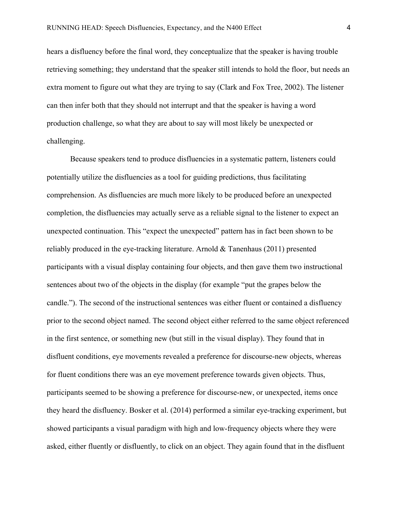hears a disfluency before the final word, they conceptualize that the speaker is having trouble retrieving something; they understand that the speaker still intends to hold the floor, but needs an extra moment to figure out what they are trying to say (Clark and Fox Tree, 2002). The listener can then infer both that they should not interrupt and that the speaker is having a word production challenge, so what they are about to say will most likely be unexpected or challenging.

Because speakers tend to produce disfluencies in a systematic pattern, listeners could potentially utilize the disfluencies as a tool for guiding predictions, thus facilitating comprehension. As disfluencies are much more likely to be produced before an unexpected completion, the disfluencies may actually serve as a reliable signal to the listener to expect an unexpected continuation. This "expect the unexpected" pattern has in fact been shown to be reliably produced in the eye-tracking literature. Arnold & Tanenhaus (2011) presented participants with a visual display containing four objects, and then gave them two instructional sentences about two of the objects in the display (for example "put the grapes below the candle."). The second of the instructional sentences was either fluent or contained a disfluency prior to the second object named. The second object either referred to the same object referenced in the first sentence, or something new (but still in the visual display). They found that in disfluent conditions, eye movements revealed a preference for discourse-new objects, whereas for fluent conditions there was an eye movement preference towards given objects. Thus, participants seemed to be showing a preference for discourse-new, or unexpected, items once they heard the disfluency. Bosker et al. (2014) performed a similar eye-tracking experiment, but showed participants a visual paradigm with high and low-frequency objects where they were asked, either fluently or disfluently, to click on an object. They again found that in the disfluent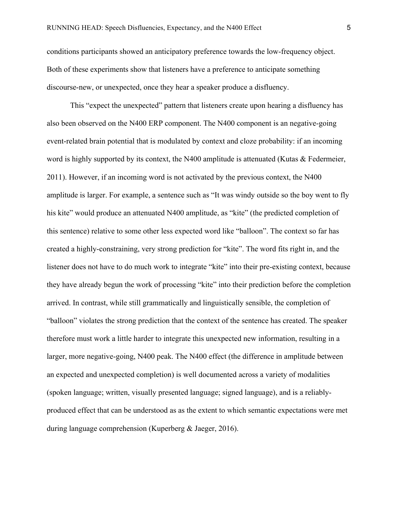conditions participants showed an anticipatory preference towards the low-frequency object. Both of these experiments show that listeners have a preference to anticipate something discourse-new, or unexpected, once they hear a speaker produce a disfluency.

This "expect the unexpected" pattern that listeners create upon hearing a disfluency has also been observed on the N400 ERP component. The N400 component is an negative-going event-related brain potential that is modulated by context and cloze probability: if an incoming word is highly supported by its context, the N400 amplitude is attenuated (Kutas & Federmeier, 2011). However, if an incoming word is not activated by the previous context, the N400 amplitude is larger. For example, a sentence such as "It was windy outside so the boy went to fly his kite" would produce an attenuated N400 amplitude, as "kite" (the predicted completion of this sentence) relative to some other less expected word like "balloon". The context so far has created a highly-constraining, very strong prediction for "kite". The word fits right in, and the listener does not have to do much work to integrate "kite" into their pre-existing context, because they have already begun the work of processing "kite" into their prediction before the completion arrived. In contrast, while still grammatically and linguistically sensible, the completion of "balloon" violates the strong prediction that the context of the sentence has created. The speaker therefore must work a little harder to integrate this unexpected new information, resulting in a larger, more negative-going, N400 peak. The N400 effect (the difference in amplitude between an expected and unexpected completion) is well documented across a variety of modalities (spoken language; written, visually presented language; signed language), and is a reliablyproduced effect that can be understood as as the extent to which semantic expectations were met during language comprehension (Kuperberg & Jaeger, 2016).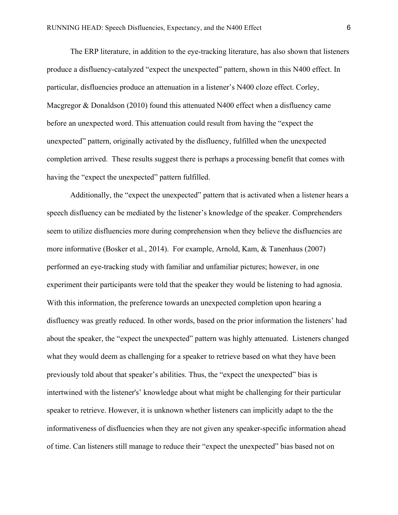The ERP literature, in addition to the eye-tracking literature, has also shown that listeners produce a disfluency-catalyzed "expect the unexpected" pattern, shown in this N400 effect. In particular, disfluencies produce an attenuation in a listener's N400 cloze effect. Corley, Macgregor & Donaldson (2010) found this attenuated N400 effect when a disfluency came before an unexpected word. This attenuation could result from having the "expect the unexpected" pattern, originally activated by the disfluency, fulfilled when the unexpected completion arrived. These results suggest there is perhaps a processing benefit that comes with having the "expect the unexpected" pattern fulfilled.

Additionally, the "expect the unexpected" pattern that is activated when a listener hears a speech disfluency can be mediated by the listener's knowledge of the speaker. Comprehenders seem to utilize disfluencies more during comprehension when they believe the disfluencies are more informative (Bosker et al., 2014). For example, Arnold, Kam, & Tanenhaus (2007) performed an eye-tracking study with familiar and unfamiliar pictures; however, in one experiment their participants were told that the speaker they would be listening to had agnosia. With this information, the preference towards an unexpected completion upon hearing a disfluency was greatly reduced. In other words, based on the prior information the listeners' had about the speaker, the "expect the unexpected" pattern was highly attenuated. Listeners changed what they would deem as challenging for a speaker to retrieve based on what they have been previously told about that speaker's abilities. Thus, the "expect the unexpected" bias is intertwined with the listener's' knowledge about what might be challenging for their particular speaker to retrieve. However, it is unknown whether listeners can implicitly adapt to the the informativeness of disfluencies when they are not given any speaker-specific information ahead of time. Can listeners still manage to reduce their "expect the unexpected" bias based not on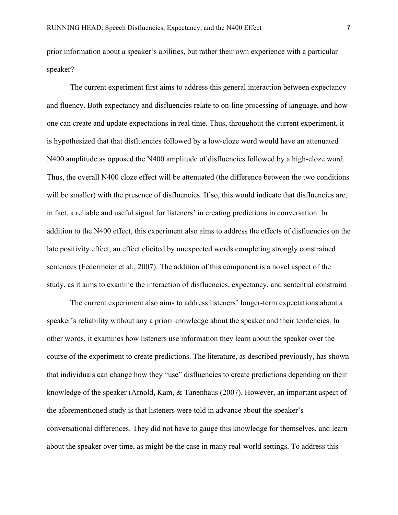prior information about a speaker's abilities, but rather their own experience with a particular speaker?

 The current experiment first aims to address this general interaction between expectancy and fluency. Both expectancy and disfluencies relate to on-line processing of language, and how one can create and update expectations in real time. Thus, throughout the current experiment, it is hypothesized that that disfluencies followed by a low-cloze word would have an attenuated N400 amplitude as opposed the N400 amplitude of disfluencies followed by a high-cloze word. Thus, the overall N400 cloze effect will be attenuated (the difference between the two conditions will be smaller) with the presence of disfluencies. If so, this would indicate that disfluencies are, in fact, a reliable and useful signal for listeners' in creating predictions in conversation. In addition to the N400 effect, this experiment also aims to address the effects of disfluencies on the late positivity effect, an effect elicited by unexpected words completing strongly constrained sentences (Federmeier et al., 2007). The addition of this component is a novel aspect of the study, as it aims to examine the interaction of disfluencies, expectancy, and sentential constraint

The current experiment also aims to address listeners' longer-term expectations about a speaker's reliability without any a priori knowledge about the speaker and their tendencies. In other words, it examines how listeners use information they learn about the speaker over the course of the experiment to create predictions. The literature, as described previously, has shown that individuals can change how they "use" disfluencies to create predictions depending on their knowledge of the speaker (Arnold, Kam, & Tanenhaus (2007). However, an important aspect of the aforementioned study is that listeners were told in advance about the speaker's conversational differences. They did not have to gauge this knowledge for themselves, and learn about the speaker over time, as might be the case in many real-world settings. To address this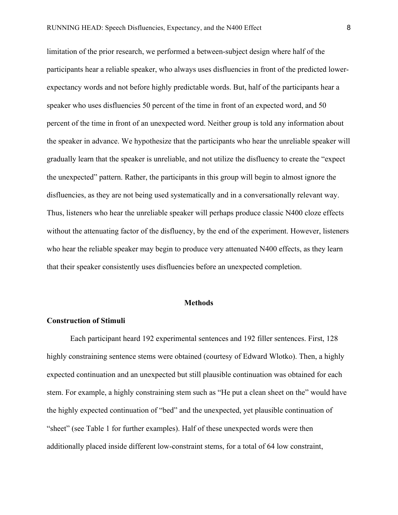limitation of the prior research, we performed a between-subject design where half of the participants hear a reliable speaker, who always uses disfluencies in front of the predicted lowerexpectancy words and not before highly predictable words. But, half of the participants hear a speaker who uses disfluencies 50 percent of the time in front of an expected word, and 50 percent of the time in front of an unexpected word. Neither group is told any information about the speaker in advance. We hypothesize that the participants who hear the unreliable speaker will gradually learn that the speaker is unreliable, and not utilize the disfluency to create the "expect the unexpected" pattern. Rather, the participants in this group will begin to almost ignore the disfluencies, as they are not being used systematically and in a conversationally relevant way. Thus, listeners who hear the unreliable speaker will perhaps produce classic N400 cloze effects without the attenuating factor of the disfluency, by the end of the experiment. However, listeners who hear the reliable speaker may begin to produce very attenuated N400 effects, as they learn that their speaker consistently uses disfluencies before an unexpected completion.

#### **Methods**

### **Construction of Stimuli**

Each participant heard 192 experimental sentences and 192 filler sentences. First, 128 highly constraining sentence stems were obtained (courtesy of Edward Wlotko). Then, a highly expected continuation and an unexpected but still plausible continuation was obtained for each stem. For example, a highly constraining stem such as "He put a clean sheet on the" would have the highly expected continuation of "bed" and the unexpected, yet plausible continuation of "sheet" (see Table 1 for further examples). Half of these unexpected words were then additionally placed inside different low-constraint stems, for a total of 64 low constraint,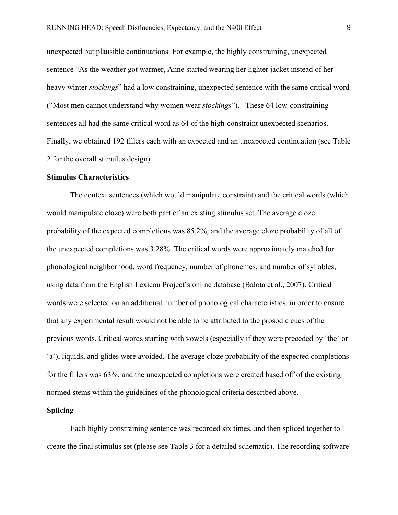unexpected but plausible continuations. For example, the highly constraining, unexpected sentence "As the weather got warmer, Anne started wearing her lighter jacket instead of her heavy winter *stockings*" had a low constraining, unexpected sentence with the same critical word ("Most men cannot understand why women wear *stockings*"). These 64 low-constraining sentences all had the same critical word as 64 of the high-constraint unexpected scenarios. Finally, we obtained 192 fillers each with an expected and an unexpected continuation (see Table 2 for the overall stimulus design).

#### **Stimulus Characteristics**

The context sentences (which would manipulate constraint) and the critical words (which would manipulate cloze) were both part of an existing stimulus set. The average cloze probability of the expected completions was 85.2%, and the average cloze probability of all of the unexpected completions was 3.28%. The critical words were approximately matched for phonological neighborhood, word frequency, number of phonemes, and number of syllables, using data from the English Lexicon Project's online database (Balota et al., 2007). Critical words were selected on an additional number of phonological characteristics, in order to ensure that any experimental result would not be able to be attributed to the prosodic cues of the previous words. Critical words starting with vowels (especially if they were preceded by 'the' or 'a'), liquids, and glides were avoided. The average cloze probability of the expected completions for the fillers was 63%, and the unexpected completions were created based off of the existing normed stems within the guidelines of the phonological criteria described above.

## **Splicing**

Each highly constraining sentence was recorded six times, and then spliced together to create the final stimulus set (please see Table 3 for a detailed schematic). The recording software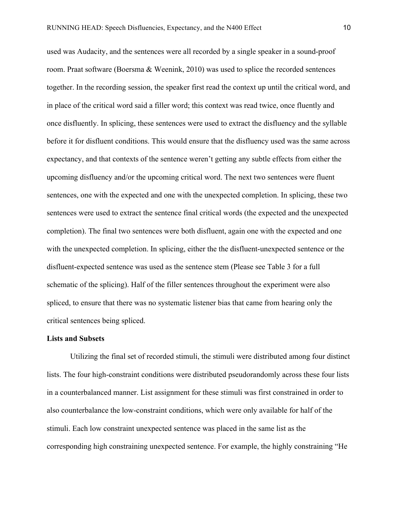used was Audacity, and the sentences were all recorded by a single speaker in a sound-proof room. Praat software (Boersma & Weenink, 2010) was used to splice the recorded sentences together. In the recording session, the speaker first read the context up until the critical word, and in place of the critical word said a filler word; this context was read twice, once fluently and once disfluently. In splicing, these sentences were used to extract the disfluency and the syllable before it for disfluent conditions. This would ensure that the disfluency used was the same across expectancy, and that contexts of the sentence weren't getting any subtle effects from either the upcoming disfluency and/or the upcoming critical word. The next two sentences were fluent sentences, one with the expected and one with the unexpected completion. In splicing, these two sentences were used to extract the sentence final critical words (the expected and the unexpected completion). The final two sentences were both disfluent, again one with the expected and one with the unexpected completion. In splicing, either the the disfluent-unexpected sentence or the disfluent-expected sentence was used as the sentence stem (Please see Table 3 for a full schematic of the splicing). Half of the filler sentences throughout the experiment were also spliced, to ensure that there was no systematic listener bias that came from hearing only the critical sentences being spliced.

### **Lists and Subsets**

Utilizing the final set of recorded stimuli, the stimuli were distributed among four distinct lists. The four high-constraint conditions were distributed pseudorandomly across these four lists in a counterbalanced manner. List assignment for these stimuli was first constrained in order to also counterbalance the low-constraint conditions, which were only available for half of the stimuli. Each low constraint unexpected sentence was placed in the same list as the corresponding high constraining unexpected sentence. For example, the highly constraining "He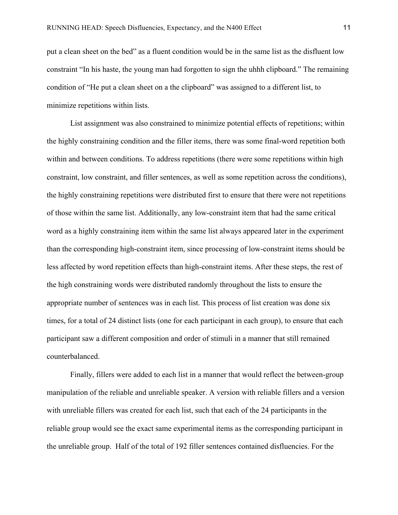put a clean sheet on the bed" as a fluent condition would be in the same list as the disfluent low constraint "In his haste, the young man had forgotten to sign the uhhh clipboard." The remaining condition of "He put a clean sheet on a the clipboard" was assigned to a different list, to minimize repetitions within lists.

List assignment was also constrained to minimize potential effects of repetitions; within the highly constraining condition and the filler items, there was some final-word repetition both within and between conditions. To address repetitions (there were some repetitions within high constraint, low constraint, and filler sentences, as well as some repetition across the conditions), the highly constraining repetitions were distributed first to ensure that there were not repetitions of those within the same list. Additionally, any low-constraint item that had the same critical word as a highly constraining item within the same list always appeared later in the experiment than the corresponding high-constraint item, since processing of low-constraint items should be less affected by word repetition effects than high-constraint items. After these steps, the rest of the high constraining words were distributed randomly throughout the lists to ensure the appropriate number of sentences was in each list. This process of list creation was done six times, for a total of 24 distinct lists (one for each participant in each group), to ensure that each participant saw a different composition and order of stimuli in a manner that still remained counterbalanced.

Finally, fillers were added to each list in a manner that would reflect the between-group manipulation of the reliable and unreliable speaker. A version with reliable fillers and a version with unreliable fillers was created for each list, such that each of the 24 participants in the reliable group would see the exact same experimental items as the corresponding participant in the unreliable group. Half of the total of 192 filler sentences contained disfluencies. For the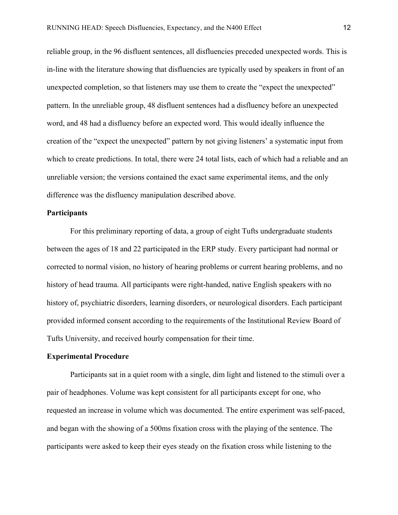reliable group, in the 96 disfluent sentences, all disfluencies preceded unexpected words. This is in-line with the literature showing that disfluencies are typically used by speakers in front of an unexpected completion, so that listeners may use them to create the "expect the unexpected" pattern. In the unreliable group, 48 disfluent sentences had a disfluency before an unexpected word, and 48 had a disfluency before an expected word. This would ideally influence the creation of the "expect the unexpected" pattern by not giving listeners' a systematic input from which to create predictions. In total, there were 24 total lists, each of which had a reliable and an unreliable version; the versions contained the exact same experimental items, and the only difference was the disfluency manipulation described above.

# **Participants**

For this preliminary reporting of data, a group of eight Tufts undergraduate students between the ages of 18 and 22 participated in the ERP study. Every participant had normal or corrected to normal vision, no history of hearing problems or current hearing problems, and no history of head trauma. All participants were right-handed, native English speakers with no history of, psychiatric disorders, learning disorders, or neurological disorders. Each participant provided informed consent according to the requirements of the Institutional Review Board of Tufts University, and received hourly compensation for their time.

### **Experimental Procedure**

Participants sat in a quiet room with a single, dim light and listened to the stimuli over a pair of headphones. Volume was kept consistent for all participants except for one, who requested an increase in volume which was documented. The entire experiment was self-paced, and began with the showing of a 500ms fixation cross with the playing of the sentence. The participants were asked to keep their eyes steady on the fixation cross while listening to the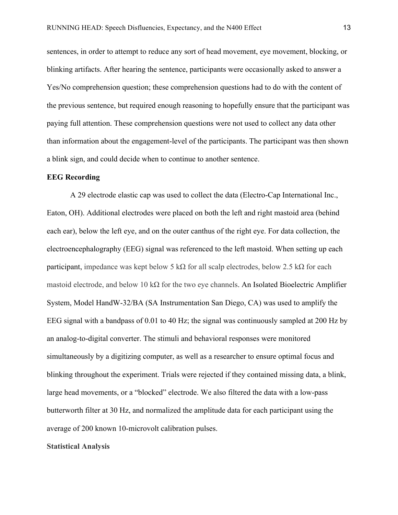sentences, in order to attempt to reduce any sort of head movement, eye movement, blocking, or blinking artifacts. After hearing the sentence, participants were occasionally asked to answer a Yes/No comprehension question; these comprehension questions had to do with the content of the previous sentence, but required enough reasoning to hopefully ensure that the participant was paying full attention. These comprehension questions were not used to collect any data other than information about the engagement-level of the participants. The participant was then shown a blink sign, and could decide when to continue to another sentence.

#### **EEG Recording**

A 29 electrode elastic cap was used to collect the data (Electro-Cap International Inc., Eaton, OH). Additional electrodes were placed on both the left and right mastoid area (behind each ear), below the left eye, and on the outer canthus of the right eye. For data collection, the electroencephalography (EEG) signal was referenced to the left mastoid. When setting up each participant, impedance was kept below 5 kΩ for all scalp electrodes, below 2.5 kΩ for each mastoid electrode, and below 10 k $\Omega$  for the two eye channels. An Isolated Bioelectric Amplifier System, Model HandW-32/BA (SA Instrumentation San Diego, CA) was used to amplify the EEG signal with a bandpass of 0.01 to 40 Hz; the signal was continuously sampled at 200 Hz by an analog-to-digital converter. The stimuli and behavioral responses were monitored simultaneously by a digitizing computer, as well as a researcher to ensure optimal focus and blinking throughout the experiment. Trials were rejected if they contained missing data, a blink, large head movements, or a "blocked" electrode. We also filtered the data with a low-pass butterworth filter at 30 Hz, and normalized the amplitude data for each participant using the average of 200 known 10-microvolt calibration pulses.

**Statistical Analysis**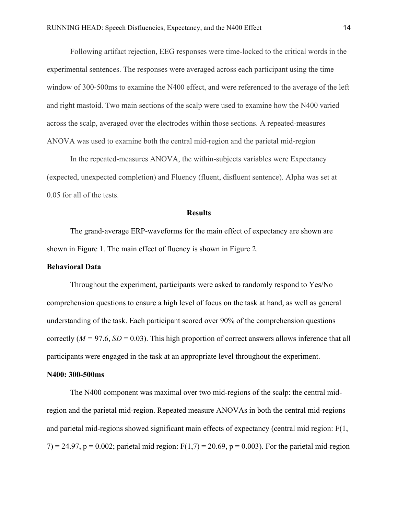Following artifact rejection, EEG responses were time-locked to the critical words in the experimental sentences. The responses were averaged across each participant using the time window of 300-500ms to examine the N400 effect, and were referenced to the average of the left and right mastoid. Two main sections of the scalp were used to examine how the N400 varied across the scalp, averaged over the electrodes within those sections. A repeated-measures ANOVA was used to examine both the central mid-region and the parietal mid-region

 In the repeated-measures ANOVA, the within-subjects variables were Expectancy (expected, unexpected completion) and Fluency (fluent, disfluent sentence). Alpha was set at 0.05 for all of the tests.

### **Results**

The grand-average ERP-waveforms for the main effect of expectancy are shown are shown in Figure 1. The main effect of fluency is shown in Figure 2.

### **Behavioral Data**

Throughout the experiment, participants were asked to randomly respond to Yes/No comprehension questions to ensure a high level of focus on the task at hand, as well as general understanding of the task. Each participant scored over 90% of the comprehension questions correctly  $(M = 97.6, SD = 0.03)$ . This high proportion of correct answers allows inference that all participants were engaged in the task at an appropriate level throughout the experiment.

#### **N400: 300-500ms**

The N400 component was maximal over two mid-regions of the scalp: the central midregion and the parietal mid-region. Repeated measure ANOVAs in both the central mid-regions and parietal mid-regions showed significant main effects of expectancy (central mid region: F(1,  $7) = 24.97$ , p = 0.002; parietal mid region: F(1,7) = 20.69, p = 0.003). For the parietal mid-region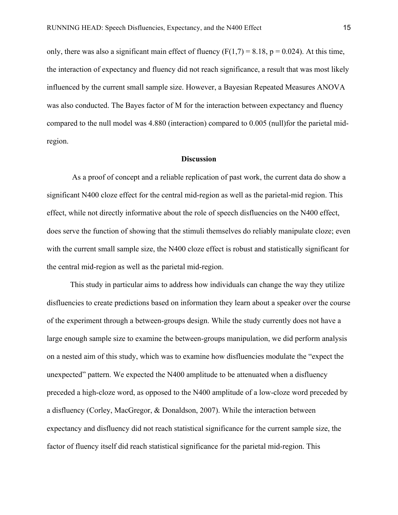only, there was also a significant main effect of fluency  $(F(1,7) = 8.18, p = 0.024)$ . At this time, the interaction of expectancy and fluency did not reach significance, a result that was most likely influenced by the current small sample size. However, a Bayesian Repeated Measures ANOVA was also conducted. The Bayes factor of M for the interaction between expectancy and fluency compared to the null model was 4.880 (interaction) compared to 0.005 (null)for the parietal midregion.

## **Discussion**

 As a proof of concept and a reliable replication of past work, the current data do show a significant N400 cloze effect for the central mid-region as well as the parietal-mid region. This effect, while not directly informative about the role of speech disfluencies on the N400 effect, does serve the function of showing that the stimuli themselves do reliably manipulate cloze; even with the current small sample size, the N400 cloze effect is robust and statistically significant for the central mid-region as well as the parietal mid-region.

 This study in particular aims to address how individuals can change the way they utilize disfluencies to create predictions based on information they learn about a speaker over the course of the experiment through a between-groups design. While the study currently does not have a large enough sample size to examine the between-groups manipulation, we did perform analysis on a nested aim of this study, which was to examine how disfluencies modulate the "expect the unexpected" pattern. We expected the N400 amplitude to be attenuated when a disfluency preceded a high-cloze word, as opposed to the N400 amplitude of a low-cloze word preceded by a disfluency (Corley, MacGregor, & Donaldson, 2007). While the interaction between expectancy and disfluency did not reach statistical significance for the current sample size, the factor of fluency itself did reach statistical significance for the parietal mid-region. This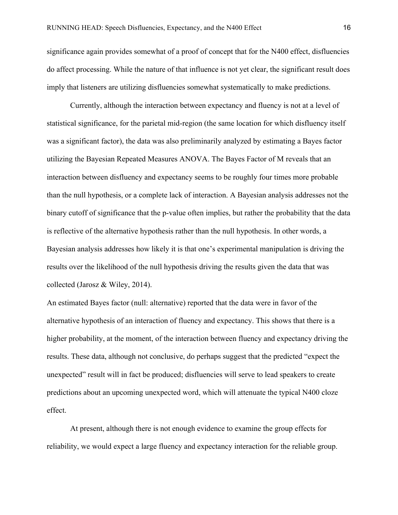significance again provides somewhat of a proof of concept that for the N400 effect, disfluencies do affect processing. While the nature of that influence is not yet clear, the significant result does imply that listeners are utilizing disfluencies somewhat systematically to make predictions.

 Currently, although the interaction between expectancy and fluency is not at a level of statistical significance, for the parietal mid-region (the same location for which disfluency itself was a significant factor), the data was also preliminarily analyzed by estimating a Bayes factor utilizing the Bayesian Repeated Measures ANOVA. The Bayes Factor of M reveals that an interaction between disfluency and expectancy seems to be roughly four times more probable than the null hypothesis, or a complete lack of interaction. A Bayesian analysis addresses not the binary cutoff of significance that the p-value often implies, but rather the probability that the data is reflective of the alternative hypothesis rather than the null hypothesis. In other words, a Bayesian analysis addresses how likely it is that one's experimental manipulation is driving the results over the likelihood of the null hypothesis driving the results given the data that was collected (Jarosz & Wiley, 2014).

An estimated Bayes factor (null: alternative) reported that the data were in favor of the alternative hypothesis of an interaction of fluency and expectancy. This shows that there is a higher probability, at the moment, of the interaction between fluency and expectancy driving the results. These data, although not conclusive, do perhaps suggest that the predicted "expect the unexpected" result will in fact be produced; disfluencies will serve to lead speakers to create predictions about an upcoming unexpected word, which will attenuate the typical N400 cloze effect.

 At present, although there is not enough evidence to examine the group effects for reliability, we would expect a large fluency and expectancy interaction for the reliable group.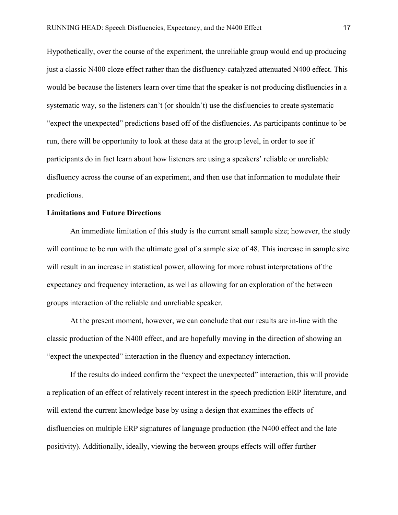Hypothetically, over the course of the experiment, the unreliable group would end up producing just a classic N400 cloze effect rather than the disfluency-catalyzed attenuated N400 effect. This would be because the listeners learn over time that the speaker is not producing disfluencies in a systematic way, so the listeners can't (or shouldn't) use the disfluencies to create systematic "expect the unexpected" predictions based off of the disfluencies. As participants continue to be run, there will be opportunity to look at these data at the group level, in order to see if participants do in fact learn about how listeners are using a speakers' reliable or unreliable disfluency across the course of an experiment, and then use that information to modulate their predictions.

### **Limitations and Future Directions**

 An immediate limitation of this study is the current small sample size; however, the study will continue to be run with the ultimate goal of a sample size of 48. This increase in sample size will result in an increase in statistical power, allowing for more robust interpretations of the expectancy and frequency interaction, as well as allowing for an exploration of the between groups interaction of the reliable and unreliable speaker.

 At the present moment, however, we can conclude that our results are in-line with the classic production of the N400 effect, and are hopefully moving in the direction of showing an "expect the unexpected" interaction in the fluency and expectancy interaction.

 If the results do indeed confirm the "expect the unexpected" interaction, this will provide a replication of an effect of relatively recent interest in the speech prediction ERP literature, and will extend the current knowledge base by using a design that examines the effects of disfluencies on multiple ERP signatures of language production (the N400 effect and the late positivity). Additionally, ideally, viewing the between groups effects will offer further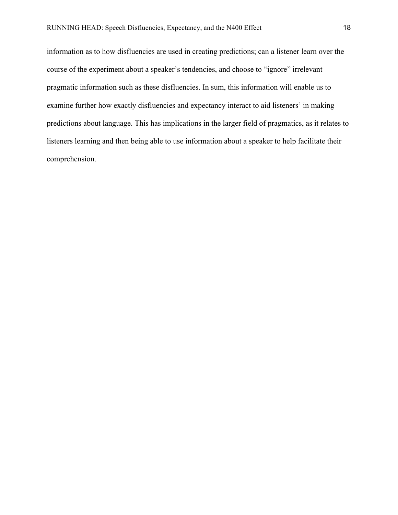information as to how disfluencies are used in creating predictions; can a listener learn over the course of the experiment about a speaker's tendencies, and choose to "ignore" irrelevant pragmatic information such as these disfluencies. In sum, this information will enable us to examine further how exactly disfluencies and expectancy interact to aid listeners' in making predictions about language. This has implications in the larger field of pragmatics, as it relates to listeners learning and then being able to use information about a speaker to help facilitate their comprehension.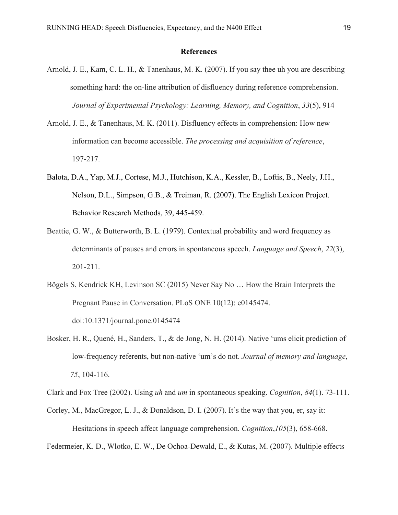## **References**

- Arnold, J. E., Kam, C. L. H., & Tanenhaus, M. K. (2007). If you say thee uh you are describing something hard: the on-line attribution of disfluency during reference comprehension. *Journal of Experimental Psychology: Learning, Memory, and Cognition*, *33*(5), 914
- Arnold, J. E., & Tanenhaus, M. K. (2011). Disfluency effects in comprehension: How new information can become accessible. *The processing and acquisition of reference*, 197-217.
- Balota, D.A., Yap, M.J., Cortese, M.J., Hutchison, K.A., Kessler, B., Loftis, B., Neely, J.H., Nelson, D.L., Simpson, G.B., & Treiman, R. (2007). The English Lexicon Project. Behavior Research Methods, 39, 445-459.
- Beattie, G. W., & Butterworth, B. L. (1979). Contextual probability and word frequency as determinants of pauses and errors in spontaneous speech. *Language and Speech*, *22*(3), 201-211.
- Bögels S, Kendrick KH, Levinson SC (2015) Never Say No … How the Brain Interprets the Pregnant Pause in Conversation. PLoS ONE 10(12): e0145474. doi:10.1371/journal.pone.0145474
- Bosker, H. R., Quené, H., Sanders, T., & de Jong, N. H. (2014). Native 'ums elicit prediction of low-frequency referents, but non-native 'um's do not. *Journal of memory and language*, *75*, 104-116.

Clark and Fox Tree (2002). Using *uh* and *um* in spontaneous speaking. *Cognition*, *84*(1). 73-111.

Corley, M., MacGregor, L. J., & Donaldson, D. I. (2007). It's the way that you, er, say it: Hesitations in speech affect language comprehension. *Cognition*,*105*(3), 658-668.

Federmeier, K. D., Wlotko, E. W., De Ochoa-Dewald, E., & Kutas, M. (2007). Multiple effects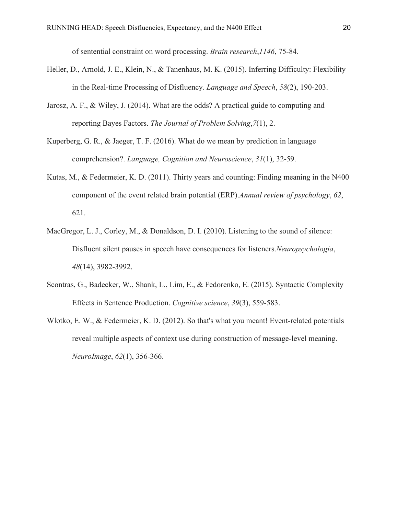of sentential constraint on word processing. *Brain research*,*1146*, 75-84.

- Heller, D., Arnold, J. E., Klein, N., & Tanenhaus, M. K. (2015). Inferring Difficulty: Flexibility in the Real-time Processing of Disfluency. *Language and Speech*, *58*(2), 190-203.
- Jarosz, A. F., & Wiley, J. (2014). What are the odds? A practical guide to computing and reporting Bayes Factors. *The Journal of Problem Solving*,*7*(1), 2.
- Kuperberg, G. R., & Jaeger, T. F. (2016). What do we mean by prediction in language comprehension?. *Language, Cognition and Neuroscience*, *31*(1), 32-59.
- Kutas, M., & Federmeier, K. D. (2011). Thirty years and counting: Finding meaning in the N400 component of the event related brain potential (ERP).*Annual review of psychology*, *62*, 621.
- MacGregor, L. J., Corley, M., & Donaldson, D. I. (2010). Listening to the sound of silence: Disfluent silent pauses in speech have consequences for listeners.*Neuropsychologia*, *48*(14), 3982-3992.
- Scontras, G., Badecker, W., Shank, L., Lim, E., & Fedorenko, E. (2015). Syntactic Complexity Effects in Sentence Production. *Cognitive science*, *39*(3), 559-583.
- Wlotko, E. W., & Federmeier, K. D. (2012). So that's what you meant! Event-related potentials reveal multiple aspects of context use during construction of message-level meaning. *NeuroImage*, *62*(1), 356-366.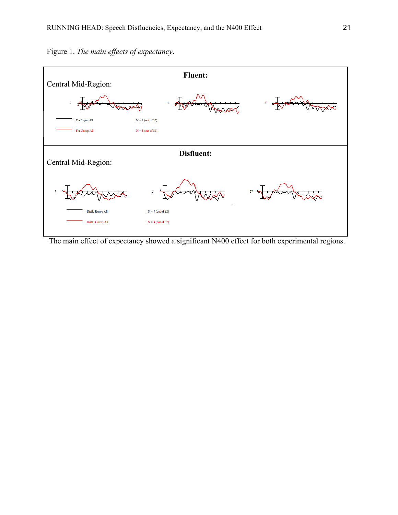

Figure 1. *The main effects of expectancy*.

The main effect of expectancy showed a significant N400 effect for both experimental regions.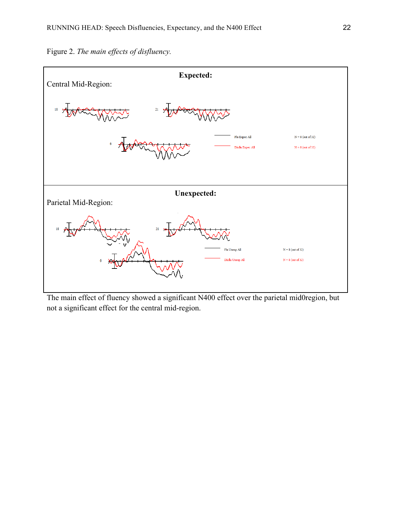

Figure 2. *The main effects of disfluency.*

The main effect of fluency showed a significant N400 effect over the parietal mid0region, but not a significant effect for the central mid-region.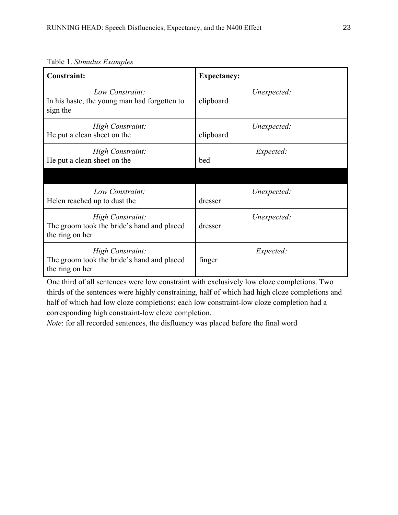| <b>Constraint:</b>                                                                | <b>Expectancy:</b>       |
|-----------------------------------------------------------------------------------|--------------------------|
| Low Constraint:<br>In his haste, the young man had forgotten to<br>sign the       | Unexpected:<br>clipboard |
| High Constraint:<br>He put a clean sheet on the                                   | Unexpected:<br>clipboard |
| High Constraint:<br>He put a clean sheet on the                                   | Expected:<br>bed         |
|                                                                                   |                          |
| Low Constraint:<br>Helen reached up to dust the                                   | Unexpected:<br>dresser   |
| High Constraint:<br>The groom took the bride's hand and placed<br>the ring on her | Unexpected:<br>dresser   |
| High Constraint:<br>The groom took the bride's hand and placed<br>the ring on her | Expected:<br>finger      |

Table 1. *Stimulus Examples*

One third of all sentences were low constraint with exclusively low cloze completions. Two thirds of the sentences were highly constraining, half of which had high cloze completions and half of which had low cloze completions; each low constraint-low cloze completion had a corresponding high constraint-low cloze completion.

*Note*: for all recorded sentences, the disfluency was placed before the final word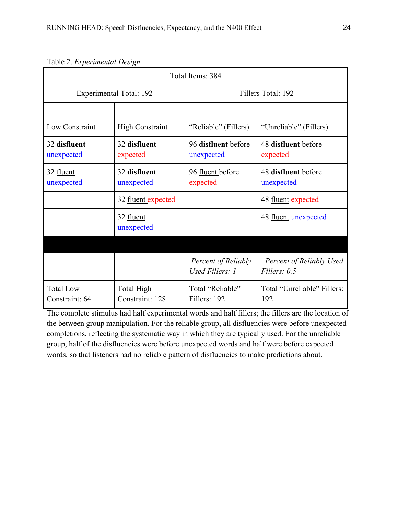| Total Items: 384                   |                               |                                        |                                                 |
|------------------------------------|-------------------------------|----------------------------------------|-------------------------------------------------|
| Experimental Total: 192            |                               | Fillers Total: 192                     |                                                 |
|                                    |                               |                                        |                                                 |
| Low Constraint                     | <b>High Constraint</b>        | "Reliable" (Fillers)                   | "Unreliable" (Fillers)                          |
| 32 disfluent<br>unexpected         | 32 disfluent<br>expected      | 96 disfluent before<br>unexpected      | 48 disfluent before<br>expected                 |
| 32 fluent<br>unexpected            | 32 disfluent<br>unexpected    | 96 fluent before<br>expected           | 48 disfluent before<br>unexpected               |
|                                    | 32 fluent expected            |                                        | 48 fluent expected                              |
|                                    | 32 fluent<br>unexpected       |                                        | 48 fluent unexpected                            |
|                                    |                               |                                        |                                                 |
|                                    |                               | Percent of Reliably<br>Used Fillers: 1 | <b>Percent of Reliably Used</b><br>Fillers: 0.5 |
| <b>Total Low</b><br>Constraint: 64 | Total High<br>Constraint: 128 | Total "Reliable"<br>Fillers: 192       | Total "Unreliable" Fillers:<br>192              |

Table 2. *Experimental Design*

The complete stimulus had half experimental words and half fillers; the fillers are the location of the between group manipulation. For the reliable group, all disfluencies were before unexpected completions, reflecting the systematic way in which they are typically used. For the unreliable group, half of the disfluencies were before unexpected words and half were before expected words, so that listeners had no reliable pattern of disfluencies to make predictions about.